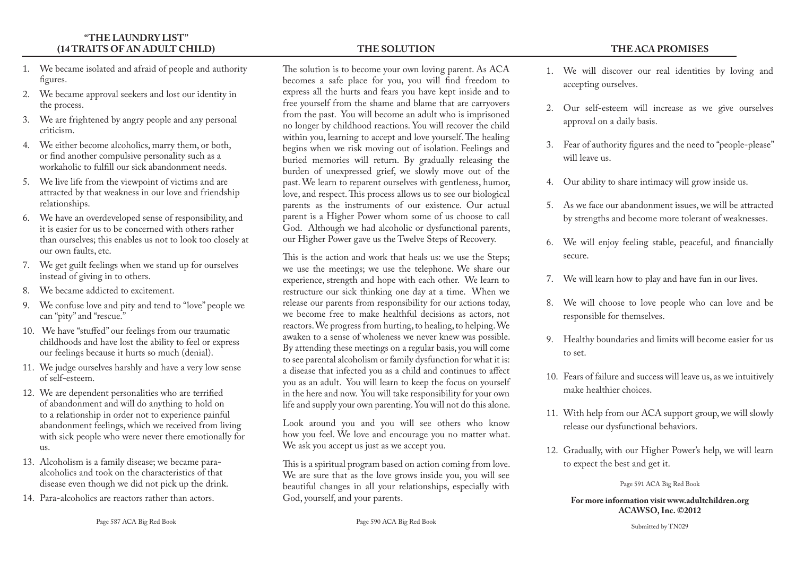## **"THE LAUNDRY LIST" (14 TRAITS OF AN ADULT CHILD)**

- 1. We became isolated and afraid of people and authority figures.
- 2. We became approval seekers and lost our identity in the process.
- 3. We are frightened by angry people and any personal criticism.
- 4. We either become alcoholics, marry them, or both, or find another compulsive personality such as a workaholic to fulfill our sick abandonment needs.
- 5. We live life from the viewpoint of victims and are attracted by that weakness in our love and friendship relationships.
- 6. We have an overdeveloped sense of responsibility, and it is easier for us to be concerned with others rather than ourselves; this enables us not to look too closely at our own faults, etc.
- 7. We get guilt feelings when we stand up for ourselves instead of giving in to others.
- 8. We became addicted to excitement.
- 9. We confuse love and pity and tend to "love" people we can "pity" and "rescue."
- 10. We have "stuffed" our feelings from our traumatic childhoods and have lost the ability to feel or express our feelings because it hurts so much (denial).
- 11. We judge ourselves harshly and have a very low sense of self-esteem.
- 12. We are dependent personalities who are terrified of abandonment and will do anything to hold on to a relationship in order not to experience painful abandonment feelings, which we received from living with sick people who were never there emotionally for us.
- 13. Alcoholism is a family disease; we became paraalcoholics and took on the characteristics of that disease even though we did not pick up the drink.
- 14. Para-alcoholics are reactors rather than actors.

## **THE SOLUTION**

The solution is to become your own loving parent. As ACA becomes a safe place for you, you will find freedom to express all the hurts and fears you have kept inside and to free yourself from the shame and blame that are carryovers from the past. You will become an adult who is imprisoned no longer by childhood reactions. You will recover the child within you, learning to accept and love yourself. The healing begins when we risk moving out of isolation. Feelings and buried memories will return. By gradually releasing the burden of unexpressed grief, we slowly move out of the past. We learn to reparent ourselves with gentleness, humor, love, and respect. This process allows us to see our biological parents as the instruments of our existence. Our actual parent is a Higher Power whom some of us choose to call God. Although we had alcoholic or dysfunctional parents, our Higher Power gave us the Twelve Steps of Recovery.

This is the action and work that heals us: we use the Steps; we use the meetings; we use the telephone. We share our experience, strength and hope with each other. We learn to restructure our sick thinking one day at a time. When we release our parents from responsibility for our actions today, we become free to make healthful decisions as actors, not reactors. We progress from hurting, to healing, to helping. We awaken to a sense of wholeness we never knew was possible. By attending these meetings on a regular basis, you will come to see parental alcoholism or family dysfunction for what it is: a disease that infected you as a child and continues to affect you as an adult. You will learn to keep the focus on yourself in the here and now. You will take responsibility for your own life and supply your own parenting. You will not do this alone.

Look around you and you will see others who know how you feel. We love and encourage you no matter what. We ask you accept us just as we accept you.

This is a spiritual program based on action coming from love. We are sure that as the love grows inside you, you will see beautiful changes in all your relationships, especially with God, yourself, and your parents.

**THE ACA PROMISES** 

- 2. Our self-esteem will increase as we give ourselves approval on a daily basis.
- 3. Fear of authority figures and the need to "people-please" will leave us.
- 4. Our ability to share intimacy will grow inside us.

accepting ourselves.

- 5. As we face our abandonment issues, we will be attracted by strengths and become more tolerant of weaknesses.
- 6. We will enjoy feeling stable, peaceful, and financially secure.
- 7. We will learn how to play and have fun in our lives.
- 8. We will choose to love people who can love and be responsible for themselves.
- 9. Healthy boundaries and limits will become easier for us to set.
- 10. Fears of failure and success will leave us, as we intuitively make healthier choices.
- 11. With help from our ACA support group, we will slowly release our dysfunctional behaviors.
- 12. Gradually, with our Higher Power's help, we will learn to expect the best and get it.

Page 591 ACA Big Red Book

**For more information visit www.adultchildren.org ACAWSO, Inc. ©2012**